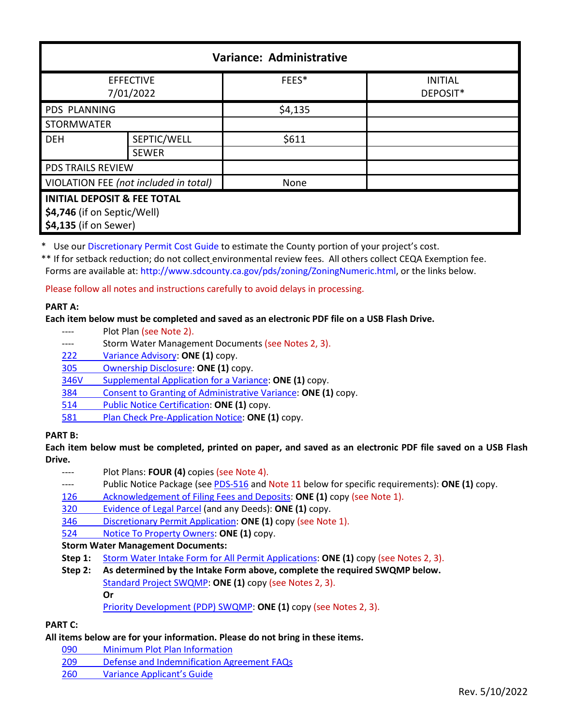| Variance: Administrative                                                                       |              |         |                            |  |
|------------------------------------------------------------------------------------------------|--------------|---------|----------------------------|--|
| <b>EFFECTIVE</b><br>7/01/2022                                                                  |              | FEES*   | <b>INITIAL</b><br>DEPOSIT* |  |
| PDS PLANNING                                                                                   |              | \$4,135 |                            |  |
| <b>STORMWATER</b>                                                                              |              |         |                            |  |
| <b>DEH</b>                                                                                     | SEPTIC/WELL  | \$611   |                            |  |
|                                                                                                | <b>SEWER</b> |         |                            |  |
| <b>PDS TRAILS REVIEW</b>                                                                       |              |         |                            |  |
| VIOLATION FEE (not included in total)                                                          |              | None    |                            |  |
| <b>INITIAL DEPOSIT &amp; FEE TOTAL</b><br>\$4,746 (if on Septic/Well)<br>\$4,135 (if on Sewer) |              |         |                            |  |

\* Use ou[r Discretionary Permit Cost Guide](http://www.sandiegocounty.gov/content/dam/sdc/pds/docs/Discretionary_Permit_Cost_Guide.xlsx) to estimate the County portion of your project's cost.

\*\* If for setback reduction; do not collect environmental review fees. All others collect CEQA Exemption fee. Forms are available at: [http://www.sdcounty.ca.gov/pds/zoning/ZoningNumeric.html,](http://www.sdcounty.ca.gov/pds/zoning/ZoningNumeric.html) or the links below.

Please follow all notes and instructions carefully to avoid delays in processing.

## **PART A:**

## **Each item below must be completed and saved as an electronic PDF file on a USB Flash Drive.**

- ---- Plot Plan (see Note 2).
- ---- Storm Water Management Documents (see Notes 2, 3).
- 222 [Variance Advisory:](http://www.sdcounty.ca.gov/pds/zoning/formfields/PDS-PLN-222.pdf) **ONE (1)** copy.
- [305 Ownership Disclosure:](http://www.sdcounty.ca.gov/pds/zoning/formfields/PDS-PLN-305.pdf) **ONE (1)** copy.
- [346V Supplemental Application for a Variance:](http://www.sdcounty.ca.gov/pds/zoning/formfields/PDS-PLN-346V.pdf) **ONE (1)** copy.
- 384 [Consent to Granting of Administrative Variance:](http://www.sdcounty.ca.gov/pds/zoning/formfields/PDS-PLN-384.pdf) **ONE (1)** copy.
- 514 [Public Notice Certification:](http://www.sdcounty.ca.gov/pds/zoning/formfields/PDS-PLN-514.pdf) **ONE (1)** copy.
- 581 [Plan Check Pre-Application Notice:](http://www.sdcounty.ca.gov/pds/zoning/formfields/PDS-PLN-581.pdf) **ONE (1)** copy.

## **PART B:**

**Each item below must be completed, printed on paper, and saved as an electronic PDF file saved on a USB Flash Drive.**

- ---- Plot Plans: **FOUR (4)** copies (see Note 4).
- ---- Public Notice Package (se[e PDS-516 a](https://www.sandiegocounty.gov/pds/zoning/formfields/PDS-PLN-516.pdf)nd Note 11 below for specific requirements): **ONE (1)** copy.
- [126 Acknowledgement of Filing Fees and Deposits:](http://www.sdcounty.ca.gov/pds/zoning/formfields/PDS-PLN-126.pdf) **ONE (1)** copy (see Note 1).
- [320 Evidence of Legal Parcel](http://www.sdcounty.ca.gov/pds/zoning/formfields/PDS-PLN-320.pdf) (and any Deeds): **ONE (1)** copy.
- 346 [Discretionary Permit Application:](http://www.sdcounty.ca.gov/pds/zoning/formfields/PDS-PLN-346.pdf) **ONE (1)** copy (see Note 1).
- 524 [Notice To Property Owners:](http://www.sdcounty.ca.gov/pds/zoning/formfields/PDS-PLN-524.pdf) **ONE (1)** copy.

## **Storm Water Management Documents:**

- **Step 1:** [Storm Water Intake Form for All Permit Applications:](http://www.sandiegocounty.gov/content/dam/sdc/pds/zoning/formfields/SWQMP-Intake-Form.pdf) **ONE (1)** copy (see Notes 2, 3).
- **Step 2: As determined by the Intake Form above, complete the required SWQMP below.** [Standard Project SWQMP:](http://www.sandiegocounty.gov/content/dam/sdc/pds/zoning/formfields/SWQMP-Standard.pdf) **ONE (1)** copy (see Notes 2, 3). **Or**

[Priority Development \(PDP\) SWQMP:](https://www.sandiegocounty.gov/content/sdc/dpw/watersheds/DevelopmentandConstruction/BMP_Design_Manual.html) **ONE (1)** copy (see Notes 2, 3).

# **PART C:**

## **All items below are for your information. Please do not bring in these items.**

- 090 [Minimum Plot Plan Information](http://www.sdcounty.ca.gov/pds/docs/pds090.pdf)
- [209 Defense and Indemnification Agreement FAQs](http://www.sdcounty.ca.gov/pds/zoning/formfields/PDS-PLN-209.pdf)
- 260 [Variance Applicant's Guide](http://www.sdcounty.ca.gov/pds/zoning/formfields/PDS-PLN-260.pdf)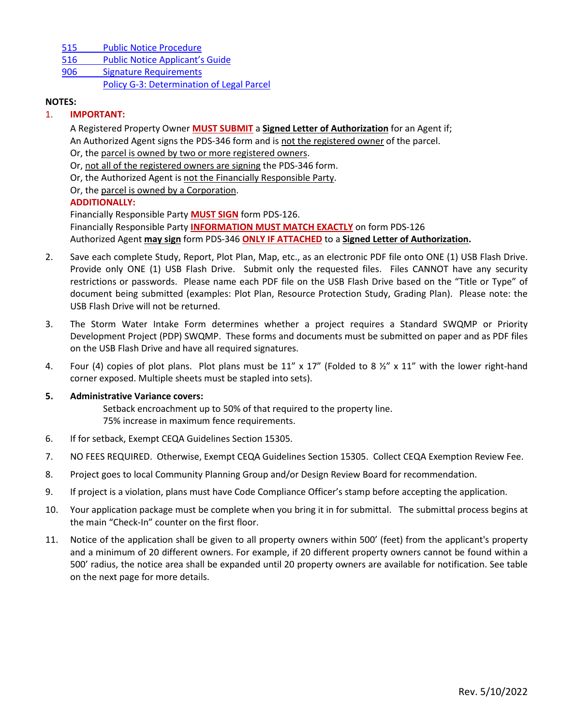- [515 Public Notice Procedure](http://www.sdcounty.ca.gov/pds/zoning/formfields/PDS-PLN-515.pdf)
- [516 Public Notice](http://www.sdcounty.ca.gov/pds/zoning/formfields/PDS-PLN-516.pdf) Applicant's Guide
- 906 [Signature Requirements](http://www.sdcounty.ca.gov/pds/zoning/formfields/PDS-PLN-906.pdf)
	- [Policy G-3: Determination of Legal Parcel](http://www.sdcounty.ca.gov/pds/zoning/formfields/POLICY-G-3.pdf)

#### **NOTES:**

## 1. **IMPORTANT:**

A Registered Property Owner **MUST SUBMIT** a **Signed Letter of Authorization** for an Agent if; An Authorized Agent signs the PDS-346 form and is not the registered owner of the parcel. Or, the parcel is owned by two or more registered owners.

Or, not all of the registered owners are signing the PDS-346 form.

Or, the Authorized Agent is not the Financially Responsible Party.

Or, the parcel is owned by a Corporation.

## **ADDITIONALLY:**

Financially Responsible Party **MUST SIGN** form PDS-126.

Financially Responsible Party **INFORMATION MUST MATCH EXACTLY** on form PDS-126 Authorized Agent **may sign** form PDS-346 **ONLY IF ATTACHED** to a **Signed Letter of Authorization.** 

- 2. Save each complete Study, Report, Plot Plan, Map, etc., as an electronic PDF file onto ONE (1) USB Flash Drive. Provide only ONE (1) USB Flash Drive. Submit only the requested files. Files CANNOT have any security restrictions or passwords. Please name each PDF file on the USB Flash Drive based on the "Title or Type" of document being submitted (examples: Plot Plan, Resource Protection Study, Grading Plan). Please note: the USB Flash Drive will not be returned.
- 3. The Storm Water Intake Form determines whether a project requires a Standard SWQMP or Priority Development Project (PDP) SWQMP. These forms and documents must be submitted on paper and as PDF files on the USB Flash Drive and have all required signatures.
- 4. Four (4) copies of plot plans. Plot plans must be 11" x 17" (Folded to 8  $\frac{1}{2}$ " x 11" with the lower right-hand corner exposed. Multiple sheets must be stapled into sets).

## **5. Administrative Variance covers:**

Setback encroachment up to 50% of that required to the property line. 75% increase in maximum fence requirements.

- 6. If for setback, Exempt CEQA Guidelines Section 15305.
- 7. NO FEES REQUIRED. Otherwise, Exempt CEQA Guidelines Section 15305. Collect CEQA Exemption Review Fee.
- 8. Project goes to local Community Planning Group and/or Design Review Board for recommendation.
- 9. If project is a violation, plans must have Code Compliance Officer's stamp before accepting the application.
- 10. Your application package must be complete when you bring it in for submittal. The submittal process begins at the main "Check-In" counter on the first floor.
- 11. Notice of the application shall be given to all property owners within 500' (feet) from the applicant's property and a minimum of 20 different owners. For example, if 20 different property owners cannot be found within a 500' radius, the notice area shall be expanded until 20 property owners are available for notification. See table on the next page for more details.